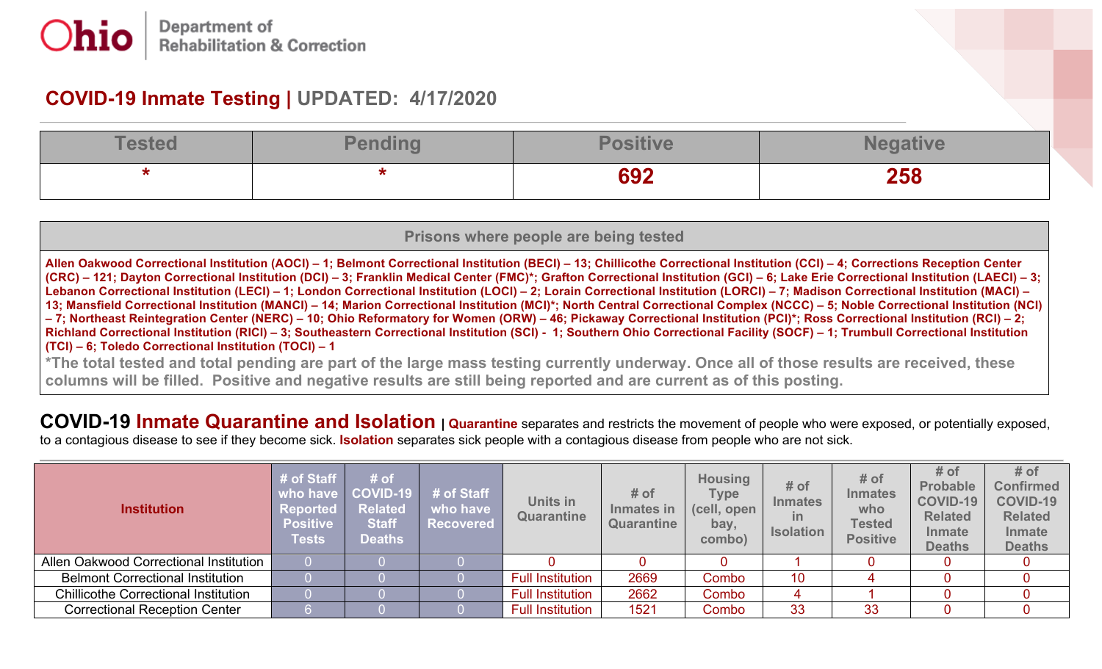## **COVID-19 Inmate Testing | UPDATED: 4/17/2020**

| Toeto | Ponding | <b>Santia</b>      |     |
|-------|---------|--------------------|-----|
|       |         | <b>GO2</b><br>09 Z | 258 |

| Prisons where people are being tested                                                                                                                                                                                                                                                                                                                                                                                                                                                                                                                                                                                                                                                                                                                                                                                                                                                                                                                                                                                                                                                                        |  |  |  |  |  |  |  |
|--------------------------------------------------------------------------------------------------------------------------------------------------------------------------------------------------------------------------------------------------------------------------------------------------------------------------------------------------------------------------------------------------------------------------------------------------------------------------------------------------------------------------------------------------------------------------------------------------------------------------------------------------------------------------------------------------------------------------------------------------------------------------------------------------------------------------------------------------------------------------------------------------------------------------------------------------------------------------------------------------------------------------------------------------------------------------------------------------------------|--|--|--|--|--|--|--|
| Allen Oakwood Correctional Institution (AOCI) - 1; Belmont Correctional Institution (BECI) - 13; Chillicothe Correctional Institution (CCI) - 4; Corrections Reception Center<br>(CRC) – 121; Dayton Correctional Institution (DCI) – 3; Franklin Medical Center (FMC)*; Grafton Correctional Institution (GCI) – 6; Lake Erie Correctional Institution (LAECI) – 3;<br>Lebanon Correctional Institution (LECI) – 1; London Correctional Institution (LOCI) – 2; Lorain Correctional Institution (LORCI) – 7; Madison Correctional Institution (MACI) –<br>13; Mansfield Correctional Institution (MANCI) – 14; Marion Correctional Institution (MCI)*; North Central Correctional Complex (NCCC) – 5; Noble Correctional Institution (NCI)<br>-7; Northeast Reintegration Center (NERC) - 10; Ohio Reformatory for Women (ORW) - 46; Pickaway Correctional Institution (PCI)*; Ross Correctional Institution (RCI) - 2;<br>Richland Correctional Institution (RICI) – 3; Southeastern Correctional Institution (SCI) - 1; Southern Ohio Correctional Facility (SOCF) – 1; Trumbull Correctional Institution |  |  |  |  |  |  |  |
| (TCI) – 6; Toledo Correctional Institution (TOCI) – 1<br>*The total technological pending are pert of the large mean tection currently underway. Ones all of these recults are resolved these                                                                                                                                                                                                                                                                                                                                                                                                                                                                                                                                                                                                                                                                                                                                                                                                                                                                                                                |  |  |  |  |  |  |  |

'The total tested and total pending are part of the large mass testing currently underway. Once all of those results are received, these columns will be filled. Positive and negative results are still being reported and are current as of this posting.

**COVID-19 Inmate Quarantine and Isolation | Quarantine** separates and restricts the movement of people who were exposed, or potentially exposed, to a contagious disease to see if they become sick. **Isolation** separates sick people with a contagious disease from people who are not sick.

| <b>Institution</b>                          | # of Staff<br>who have<br><b>Reported</b><br><b>Positive</b><br><b>Tests</b> | # of<br>$\vert$ COVID-19<br><b>Related</b><br><b>Staff</b><br><b>Deaths</b> | # of Staff<br>who have<br><b>Recovered</b> | Units in<br>Quarantine  | $#$ of<br>Inmates in<br>Quarantine | <b>Housing</b><br>Type<br>(cell, open<br>bay,<br>combo) | # of<br><b>Inmates</b><br>in<br><b>Isolation</b> | # of<br><b>Inmates</b><br>who<br><b>Tested</b><br><b>Positive</b> | # of<br><b>Probable</b><br><b>COVID-19</b><br><b>Related</b><br><b>Inmate</b><br><b>Deaths</b> | # of<br><b>Confirmed</b><br><b>COVID-19</b><br><b>Related</b><br><b>Inmate</b><br><b>Deaths</b> |
|---------------------------------------------|------------------------------------------------------------------------------|-----------------------------------------------------------------------------|--------------------------------------------|-------------------------|------------------------------------|---------------------------------------------------------|--------------------------------------------------|-------------------------------------------------------------------|------------------------------------------------------------------------------------------------|-------------------------------------------------------------------------------------------------|
| Allen Oakwood Correctional Institution      |                                                                              |                                                                             |                                            |                         |                                    |                                                         |                                                  |                                                                   |                                                                                                |                                                                                                 |
| <b>Belmont Correctional Institution</b>     |                                                                              |                                                                             |                                            | <b>Full Institution</b> | 2669                               | Combo                                                   | 10                                               |                                                                   |                                                                                                |                                                                                                 |
| <b>Chillicothe Correctional Institution</b> |                                                                              |                                                                             |                                            | <b>Full Institution</b> | 2662                               | Combo                                                   |                                                  |                                                                   |                                                                                                |                                                                                                 |
| <b>Correctional Reception Center</b>        |                                                                              |                                                                             |                                            | <b>Full Institution</b> | 1521                               | Combo                                                   | 33                                               | 33                                                                |                                                                                                |                                                                                                 |